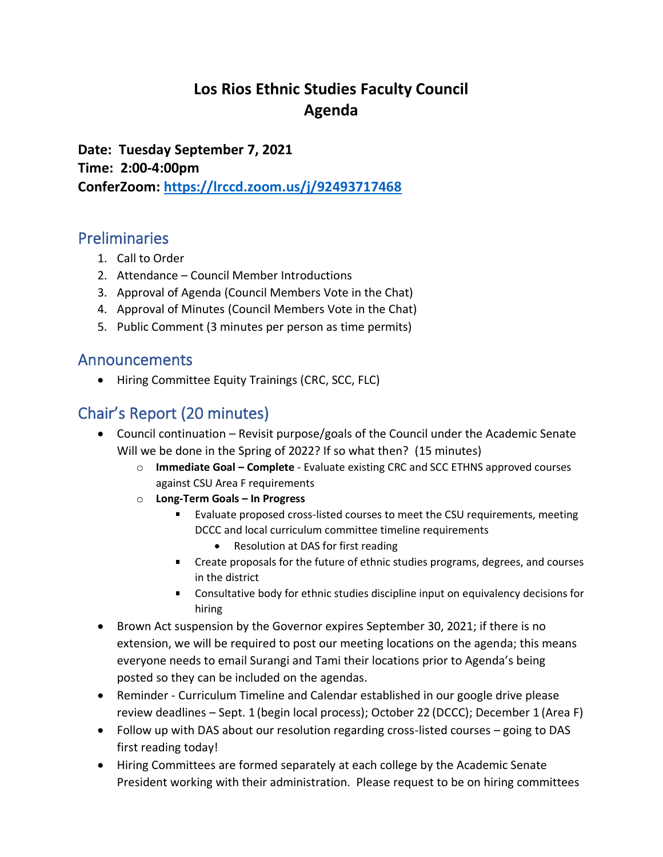# **Los Rios Ethnic Studies Faculty Council Agenda**

**Date: Tuesday September 7, 2021 Time: 2:00-4:00pm ConferZoom: <https://lrccd.zoom.us/j/92493717468>**

#### Preliminaries

- 1. Call to Order
- 2. Attendance Council Member Introductions
- 3. Approval of Agenda (Council Members Vote in the Chat)
- 4. Approval of Minutes (Council Members Vote in the Chat)
- 5. Public Comment (3 minutes per person as time permits)

#### Announcements

• Hiring Committee Equity Trainings (CRC, SCC, FLC)

## Chair's Report (20 minutes)

- Council continuation Revisit purpose/goals of the Council under the Academic Senate Will we be done in the Spring of 2022? If so what then? (15 minutes)
	- o **Immediate Goal – Complete** Evaluate existing CRC and SCC ETHNS approved courses against CSU Area F requirements
	- o **Long-Term Goals – In Progress**
		- Evaluate proposed cross-listed courses to meet the CSU requirements, meeting DCCC and local curriculum committee timeline requirements
			- Resolution at DAS for first reading
		- Create proposals for the future of ethnic studies programs, degrees, and courses in the district
		- Consultative body for ethnic studies discipline input on equivalency decisions for hiring
- Brown Act suspension by the Governor expires September 30, 2021; if there is no extension, we will be required to post our meeting locations on the agenda; this means everyone needs to email Surangi and Tami their locations prior to Agenda's being posted so they can be included on the agendas.
- Reminder Curriculum Timeline and Calendar established in our google drive please review deadlines – Sept. 1 (begin local process); October 22 (DCCC); December 1 (Area F)
- Follow up with DAS about our resolution regarding cross-listed courses going to DAS first reading today!
- Hiring Committees are formed separately at each college by the Academic Senate President working with their administration. Please request to be on hiring committees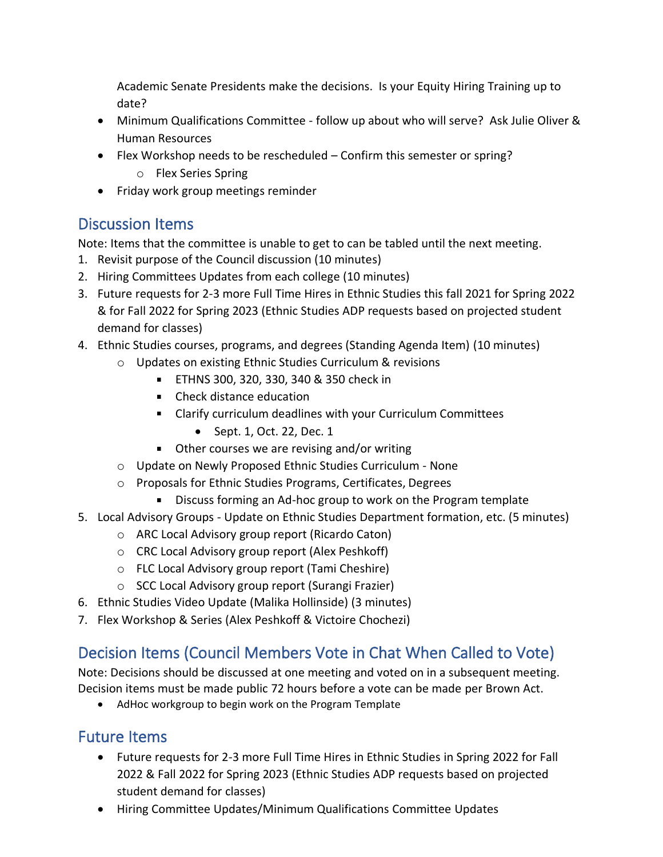Academic Senate Presidents make the decisions. Is your Equity Hiring Training up to date?

- Minimum Qualifications Committee follow up about who will serve? Ask Julie Oliver & Human Resources
- Flex Workshop needs to be rescheduled Confirm this semester or spring?
	- o Flex Series Spring
- Friday work group meetings reminder

# Discussion Items

Note: Items that the committee is unable to get to can be tabled until the next meeting.

- 1. Revisit purpose of the Council discussion (10 minutes)
- 2. Hiring Committees Updates from each college (10 minutes)
- 3. Future requests for 2-3 more Full Time Hires in Ethnic Studies this fall 2021 for Spring 2022 & for Fall 2022 for Spring 2023 (Ethnic Studies ADP requests based on projected student demand for classes)
- 4. Ethnic Studies courses, programs, and degrees (Standing Agenda Item) (10 minutes)
	- o Updates on existing Ethnic Studies Curriculum & revisions
		- ETHNS 300, 320, 330, 340 & 350 check in
		- Check distance education
		- Clarify curriculum deadlines with your Curriculum Committees
			- Sept. 1, Oct. 22, Dec. 1
		- Other courses we are revising and/or writing
	- o Update on Newly Proposed Ethnic Studies Curriculum None
	- o Proposals for Ethnic Studies Programs, Certificates, Degrees
		- $\mathbf{r}$ Discuss forming an Ad-hoc group to work on the Program template
- 5. Local Advisory Groups Update on Ethnic Studies Department formation, etc. (5 minutes)
	- o ARC Local Advisory group report (Ricardo Caton)
	- o CRC Local Advisory group report (Alex Peshkoff)
	- o FLC Local Advisory group report (Tami Cheshire)
	- o SCC Local Advisory group report (Surangi Frazier)
- 6. Ethnic Studies Video Update (Malika Hollinside) (3 minutes)
- 7. Flex Workshop & Series (Alex Peshkoff & Victoire Chochezi)

# Decision Items (Council Members Vote in Chat When Called to Vote)

Note: Decisions should be discussed at one meeting and voted on in a subsequent meeting. Decision items must be made public 72 hours before a vote can be made per Brown Act.

• AdHoc workgroup to begin work on the Program Template

## Future Items

- Future requests for 2-3 more Full Time Hires in Ethnic Studies in Spring 2022 for Fall 2022 & Fall 2022 for Spring 2023 (Ethnic Studies ADP requests based on projected student demand for classes)
- Hiring Committee Updates/Minimum Qualifications Committee Updates